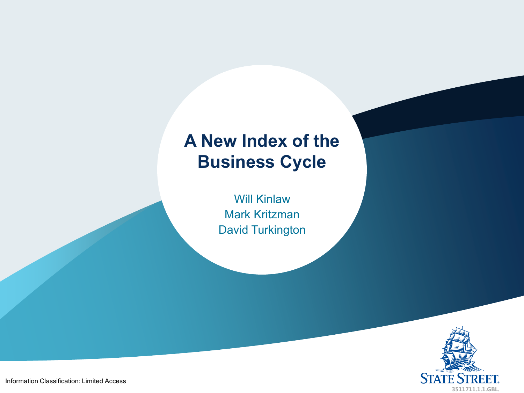# **A New Index of the Business Cycle**

Will Kinlaw Mark Kritzman David Turkington



Information Classification: Limited Access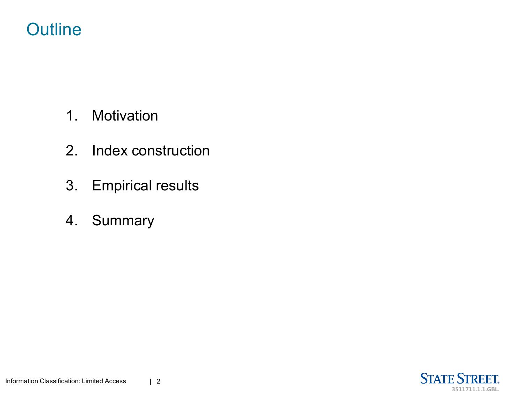## **Outline**

- 1. Motivation
- 2. Index construction
- 3. Empirical results
- 4. Summary

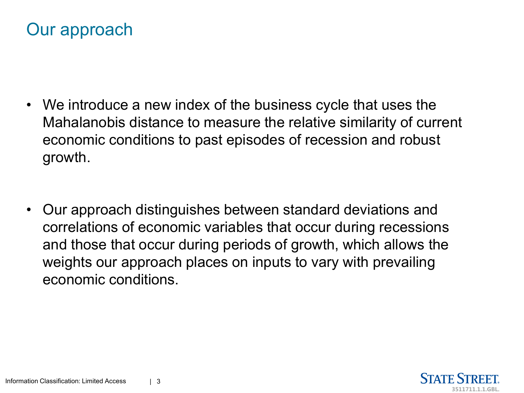

- We introduce a new index of the business cycle that uses the Mahalanobis distance to measure the relative similarity of current economic conditions to past episodes of recession and robust growth.
- Our approach distinguishes between standard deviations and correlations of economic variables that occur during recessions and those that occur during periods of growth, which allows the weights our approach places on inputs to vary with prevailing economic conditions.

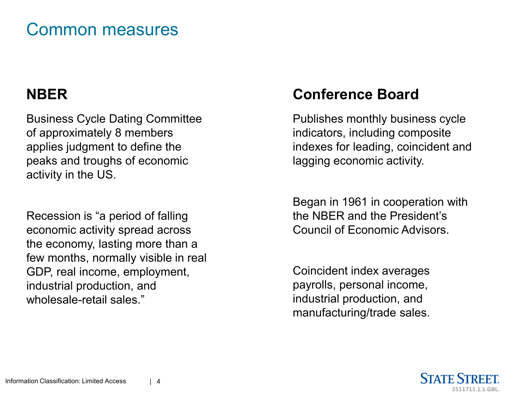### Common measures

#### **NBER**

Business Cycle Dating Committee of approximately 8 members applies judgment to define the peaks and troughs of economic activity in the US.

Recession is "a period of falling economic activity spread across the economy, lasting more than a few months, normally visible in real GDP, real income, employment, industrial production, and wholesale-retail sales."

#### **Conference Board**

Publishes monthly business cycle indicators, including composite indexes for leading, coincident and lagging economic activity.

Began in 1961 in cooperation with the NBER and the President's Council of Economic Advisors.

Coincident index averages payrolls, personal income, industrial production, and manufacturing/trade sales.

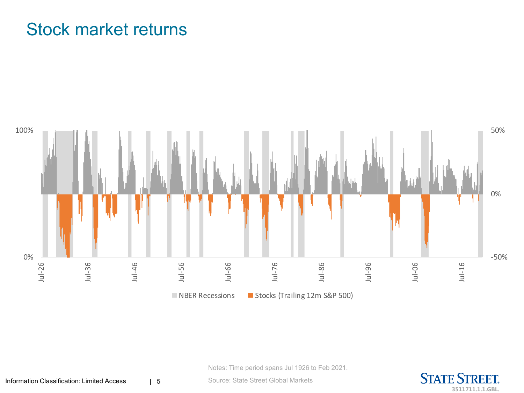## Stock market returns



Notes: Time period spans Jul 1926 to Feb 2021.

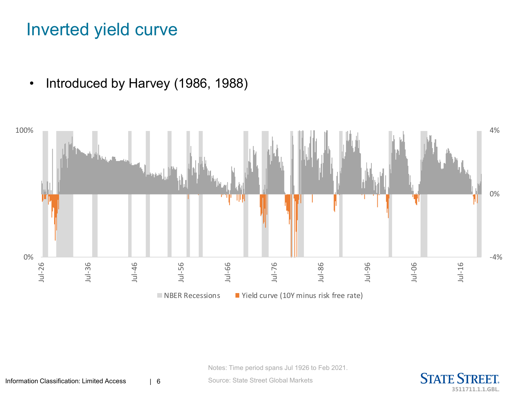### Inverted yield curve

• Introduced by Harvey (1986, 1988)



Notes: Time period spans Jul 1926 to Feb 2021.



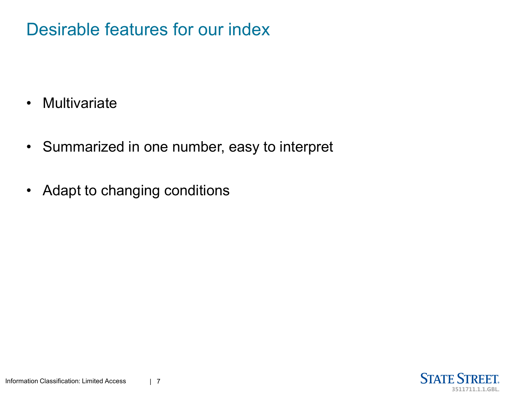## Desirable features for our index

- Multivariate
- Summarized in one number, easy to interpret
- Adapt to changing conditions

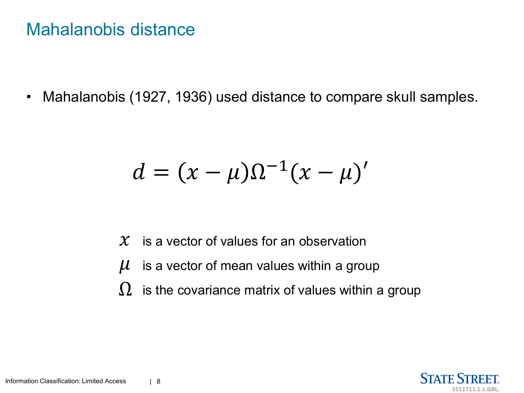#### Mahalanobis distance

• Mahalanobis (1927, 1936) used distance to compare skull samples.

$$
d=(x-\mu)\Omega^{-1}(x-\mu)'
$$

- $\mathcal X^-$  is a vector of values for an observation
- is a vector of mean values within a group  $\mu$
- $\Omega$  is the covariance matrix of values within a group

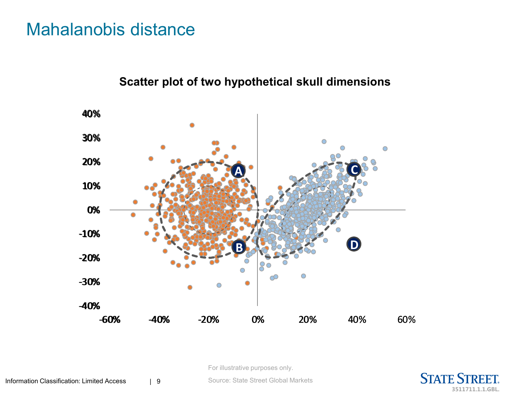#### Mahalanobis distance





For illustrative purposes only.



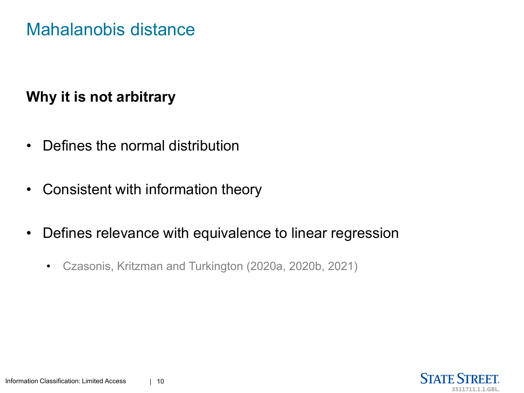#### Mahalanobis distance

#### **Why it is not arbitrary**

- Defines the normal distribution
- Consistent with information theory
- Defines relevance with equivalence to linear regression
	- Czasonis, Kritzman and Turkington (2020a, 2020b, 2021)

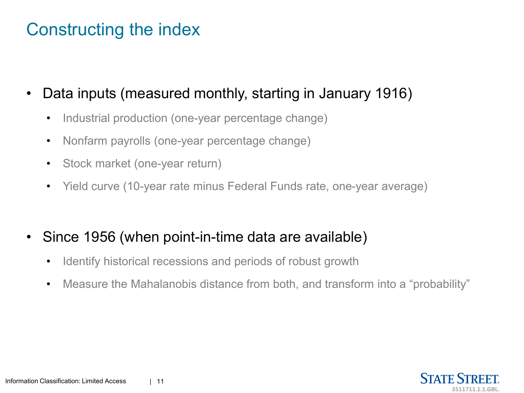## Constructing the index

- Data inputs (measured monthly, starting in January 1916)
	- Industrial production (one-year percentage change)
	- Nonfarm payrolls (one-year percentage change)
	- Stock market (one-year return)
	- Yield curve (10-year rate minus Federal Funds rate, one-year average)
- Since 1956 (when point-in-time data are available)
	- Identify historical recessions and periods of robust growth
	- Measure the Mahalanobis distance from both, and transform into a "probability"

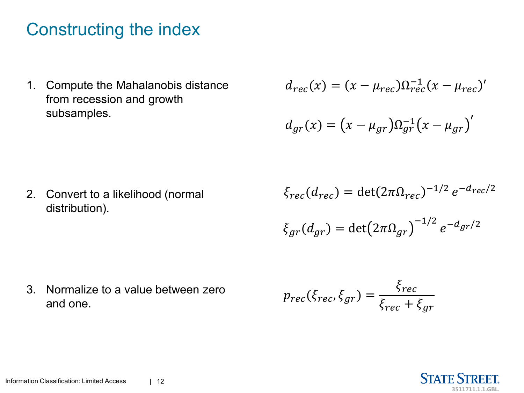## Constructing the index

1. Compute the Mahalanobis distance from recession and growth subsamples.

$$
d_{rec}(x) = (x - \mu_{rec})\Omega_{rec}^{-1}(x - \mu_{rec})'
$$

$$
d_{gr}(x) = (x - \mu_{gr})\Omega_{gr}^{-1}(x - \mu_{gr})'
$$

2. Convert to a likelihood (normal distribution).

 $\xi_{rec}(d_{rec}) = \det(2\pi\Omega_{rec})^{-1/2} e^{-d_{rec}/2}$ 

$$
\xi_{gr}(d_{gr}) = \det(2\pi\Omega_{gr})^{-1/2} e^{-d_{gr}/2}
$$

3. Normalize to a value between zero and one.

$$
p_{rec}(\xi_{rec}, \xi_{gr}) = \frac{\xi_{rec}}{\xi_{rec} + \xi_{gr}}
$$

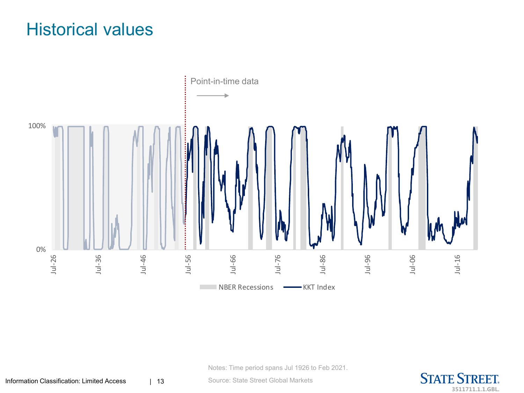## Historical values



Notes: Time period spans Jul 1926 to Feb 2021.

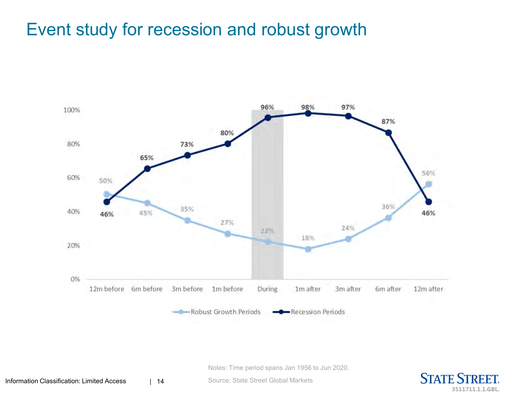## Event study for recession and robust growth



Notes: Time period spans Jan 1956 to Jun 2020.

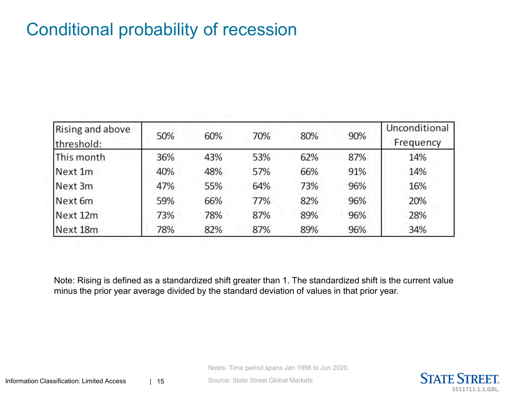## Conditional probability of recession

| <b>Rising and above</b><br>threshold: | 50% | 60% | 70% | 80% | 90% | Unconditional<br>Frequency |
|---------------------------------------|-----|-----|-----|-----|-----|----------------------------|
| This month                            | 36% | 43% | 53% | 62% | 87% | 14%                        |
| Next 1m                               | 40% | 48% | 57% | 66% | 91% | 14%                        |
| Next 3m                               | 47% | 55% | 64% | 73% | 96% | 16%                        |
| Next 6m                               | 59% | 66% | 77% | 82% | 96% | 20%                        |
| Next 12m                              | 73% | 78% | 87% | 89% | 96% | 28%                        |
| Next 18m                              | 78% | 82% | 87% | 89% | 96% | 34%                        |

Note: Rising is defined as a standardized shift greater than 1. The standardized shift is the current value minus the prior year average divided by the standard deviation of values in that prior year.

Notes: Time period spans Jan 1956 to Jun 2020.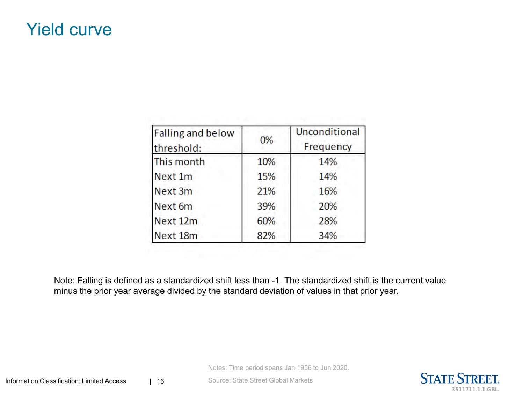#### Yield curve

| <b>Falling and below</b><br>threshold: | 0%  | Unconditional<br>Frequency |  |
|----------------------------------------|-----|----------------------------|--|
| This month                             | 10% | 14%                        |  |
| Next 1m                                | 15% | 14%                        |  |
| Next 3m                                | 21% | 16%                        |  |
| Next 6m                                | 39% | 20%                        |  |
| Next 12m                               | 60% | 28%                        |  |
| Next 18m                               | 82% | 34%                        |  |

Note: Falling is defined as a standardized shift less than -1. The standardized shift is the current value minus the prior year average divided by the standard deviation of values in that prior year.

Notes: Time period spans Jan 1956 to Jun 2020.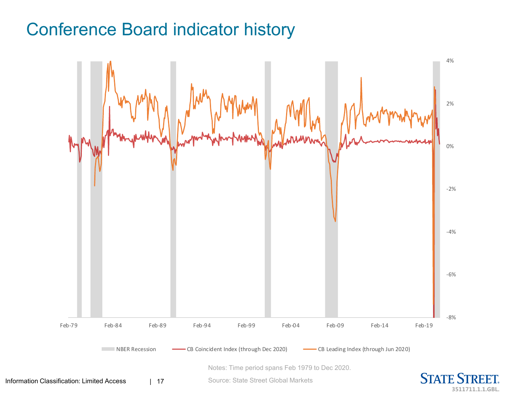## Conference Board indicator history

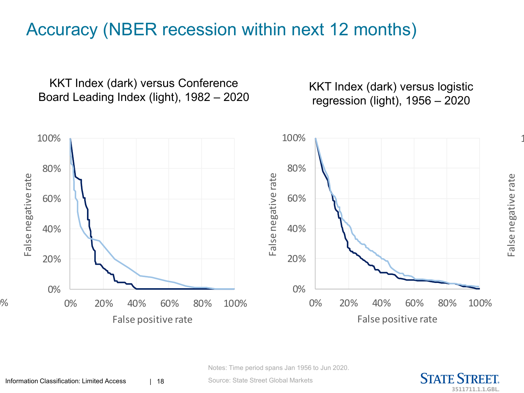## Accuracy (NBER recession within next 12 months)

KKT Index (dark) versus Conference Board Leading Index (light), 1982 – 2020

KKT Index (dark) versus logistic regression (light), 1956 – 2020



Notes: Time period spans Jan 1956 to Jun 2020.

Source: State Street Global Markets



 $\mathbf{1}$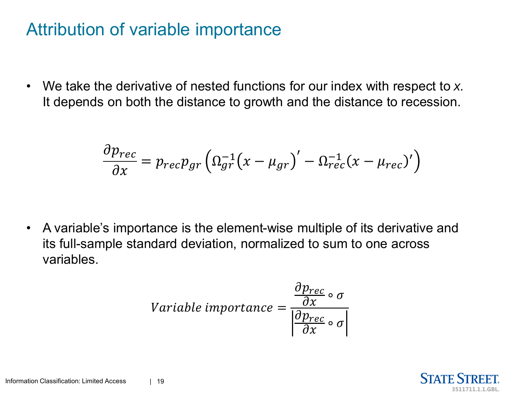### Attribution of variable importance

• We take the derivative of nested functions for our index with respect to *x.*  It depends on both the distance to growth and the distance to recession.

$$
\frac{\partial p_{rec}}{\partial x} = p_{rec} p_{gr} \left( \Omega_{gr}^{-1} (x - \mu_{gr})' - \Omega_{rec}^{-1} (x - \mu_{rec})' \right)
$$

• A variable's importance is the element-wise multiple of its derivative and its full-sample standard deviation, normalized to sum to one across variables.

$$
Variable\ importance = \frac{\frac{\partial p_{rec}}{\partial x} \circ \sigma}{\left|\frac{\partial p_{rec}}{\partial x} \circ \sigma\right|}
$$

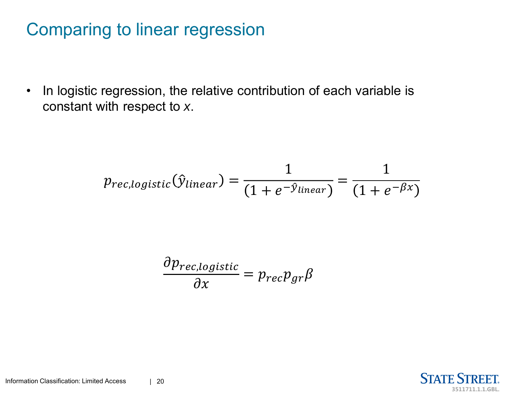## Comparing to linear regression

• In logistic regression, the relative contribution of each variable is constant with respect to *x*.

$$
p_{rec, logistic}(\hat{y}_{linear}) = \frac{1}{(1 + e^{-\hat{y}_{linear}})} = \frac{1}{(1 + e^{-\beta x})}
$$

$$
\frac{\partial p_{rec,logistic}}{\partial x} = p_{rec} p_{gr} \beta
$$

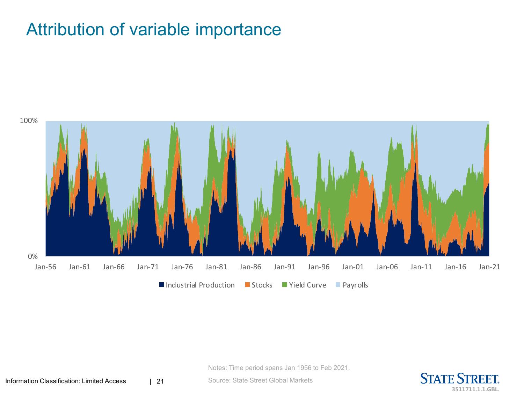#### Attribution of variable importance



Notes: Time period spans Jan 1956 to Feb 2021.

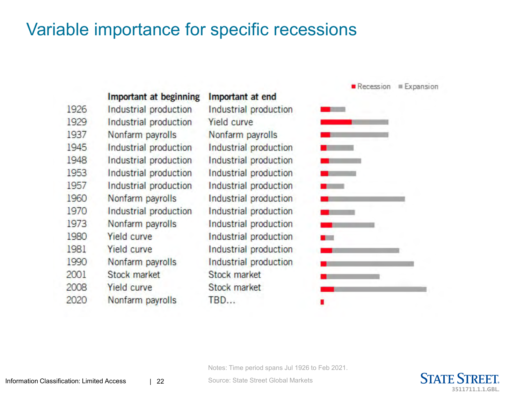#### Variable importance for specific recessions

|      | <b>Important at beginning</b> | Important at end      |
|------|-------------------------------|-----------------------|
| 1926 | Industrial production         | Industrial production |
| 1929 | Industrial production         | <b>Yield curve</b>    |
| 1937 | Nonfarm payrolls              | Nonfarm payrolls      |
| 1945 | Industrial production         | Industrial production |
| 1948 | Industrial production         | Industrial production |
| 1953 | Industrial production         | Industrial production |
| 1957 | Industrial production         | Industrial production |
| 1960 | Nonfarm payrolls              | Industrial production |
| 1970 | Industrial production         | Industrial production |
| 1973 | Nonfarm payrolls              | Industrial production |
| 1980 | <b>Yield curve</b>            | Industrial production |
| 1981 | <b>Yield curve</b>            | Industrial production |
| 1990 | Nonfarm payrolls              | Industrial production |
| 2001 | <b>Stock market</b>           | <b>Stock market</b>   |
| 2008 | <b>Yield curve</b>            | Stock market          |
| 2020 | Nonfarm payrolls              | TBD                   |



Notes: Time period spans Jul 1926 to Feb 2021.

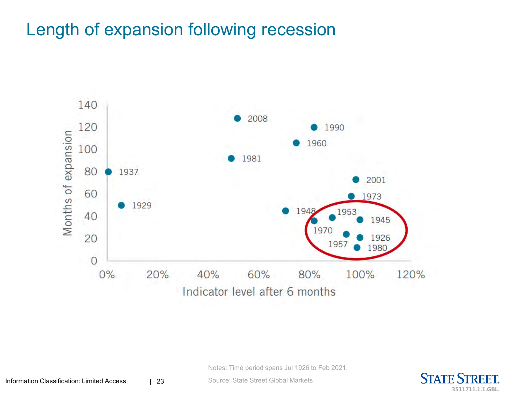## Length of expansion following recession



Notes: Time period spans Jul 1926 to Feb 2021.

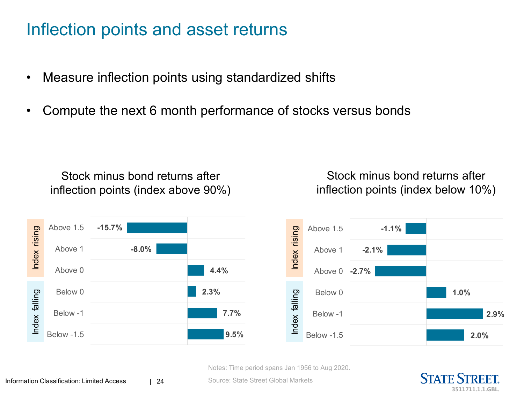### Inflection points and asset returns

- Measure inflection points using standardized shifts
- Compute the next 6 month performance of stocks versus bonds

Stock minus bond returns after inflection points (index above 90%)

Stock minus bond returns after inflection points (index below 10%)



Notes: Time period spans Jan 1956 to Aug 2020.

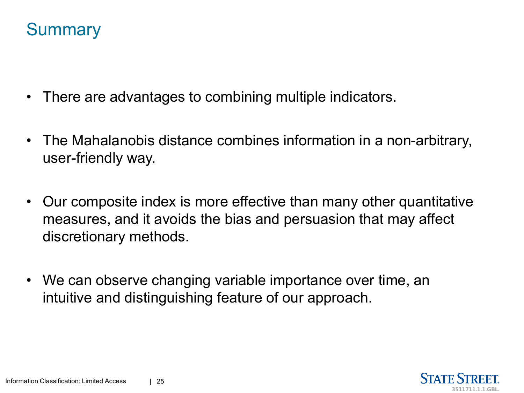## **Summary**

- There are advantages to combining multiple indicators.
- The Mahalanobis distance combines information in a non-arbitrary, user-friendly way.
- Our composite index is more effective than many other quantitative measures, and it avoids the bias and persuasion that may affect discretionary methods.
- We can observe changing variable importance over time, an intuitive and distinguishing feature of our approach.